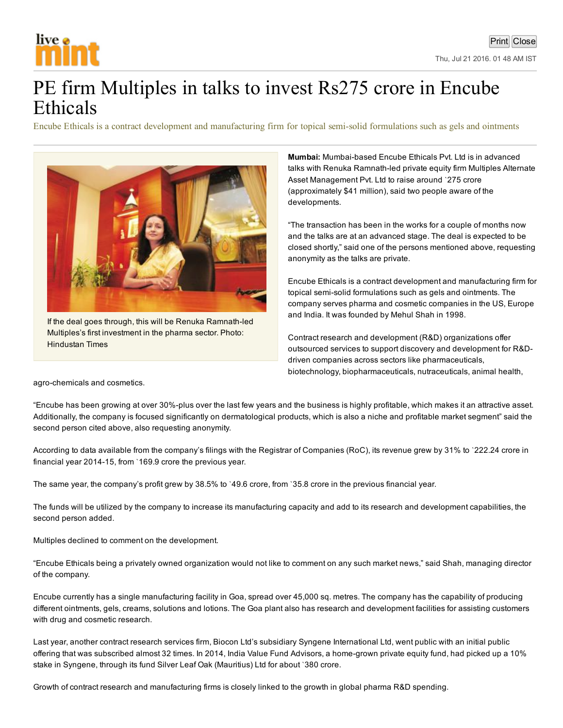

## PE firm Multiples in talks to invest Rs275 crore in Encube Ethicals

Encube Ethicals is a contract development and manufacturing firm for topical semisolid formulations such as gels and ointments



If the deal goes through, this will be Renuka Ramnath-led Multiples's first investment in the pharma sector. Photo: Hindustan Times

Mumbai: Mumbai-based Encube Ethicals Pvt. Ltd is in advanced talks with Renuka Ramnath-led private equity firm Multiples Alternate Asset Management Pvt. Ltd to raise around `275 crore (approximately \$41 million), said two people aware of the developments.

"The transaction has been in the works for a couple of months now and the talks are at an advanced stage. The deal is expected to be closed shortly," said one of the persons mentioned above, requesting anonymity as the talks are private.

Encube Ethicals is a contract development and manufacturing firm for topical semi-solid formulations such as gels and ointments. The company serves pharma and cosmetic companies in the US, Europe and India. It was founded by Mehul Shah in 1998.

Contract research and development (R&D) organizations offer outsourced services to support discovery and development for R&Ddriven companies across sectors like pharmaceuticals, biotechnology, biopharmaceuticals, nutraceuticals, animal health,

agro-chemicals and cosmetics.

"Encube has been growing at over 30%-plus over the last few years and the business is highly profitable, which makes it an attractive asset. Additionally, the company is focused significantly on dermatological products, which is also a niche and profitable market segment" said the second person cited above, also requesting anonymity.

According to data available from the company's filings with the Registrar of Companies (RoC), its revenue grew by 31% to `222.24 crore in financial year 2014-15, from `169.9 crore the previous year.

The same year, the company's profit grew by 38.5% to '49.6 crore, from '35.8 crore in the previous financial year.

The funds will be utilized by the company to increase its manufacturing capacity and add to its research and development capabilities, the second person added.

Multiples declined to comment on the development.

"Encube Ethicals being a privately owned organization would not like to comment on any such market news," said Shah, managing director of the company.

Encube currently has a single manufacturing facility in Goa, spread over 45,000 sq. metres. The company has the capability of producing different ointments, gels, creams, solutions and lotions. The Goa plant also has research and development facilities for assisting customers with drug and cosmetic research.

Last year, another contract research services firm, Biocon Ltd's subsidiary Syngene International Ltd, went public with an initial public offering that was subscribed almost 32 times. In 2014, India Value Fund Advisors, a home-grown private equity fund, had picked up a 10% stake in Syngene, through its fund Silver Leaf Oak (Mauritius) Ltd for about `380 crore.

Growth of contract research and manufacturing firms is closely linked to the growth in global pharma R&D spending.